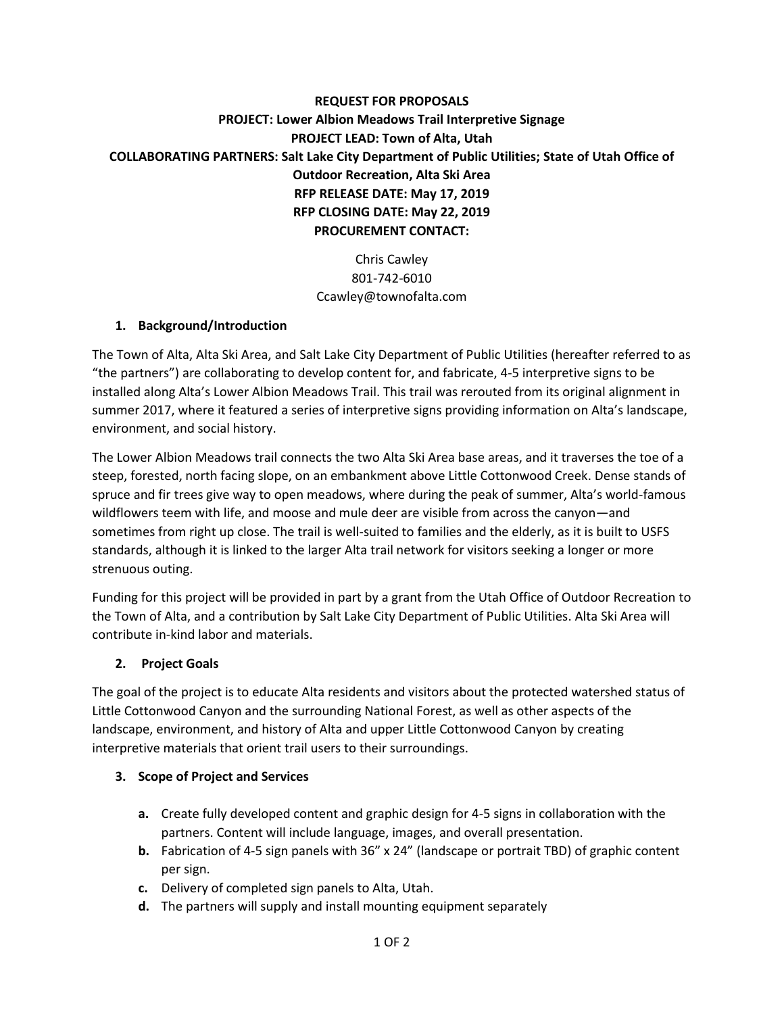# **REQUEST FOR PROPOSALS PROJECT: Lower Albion Meadows Trail Interpretive Signage PROJECT LEAD: Town of Alta, Utah COLLABORATING PARTNERS: Salt Lake City Department of Public Utilities; State of Utah Office of Outdoor Recreation, Alta Ski Area RFP RELEASE DATE: May 17, 2019 RFP CLOSING DATE: May 22, 2019 PROCUREMENT CONTACT:**

Chris Cawley 801-742-6010 Ccawley@townofalta.com

#### **1. Background/Introduction**

The Town of Alta, Alta Ski Area, and Salt Lake City Department of Public Utilities (hereafter referred to as "the partners") are collaborating to develop content for, and fabricate, 4-5 interpretive signs to be installed along Alta's Lower Albion Meadows Trail. This trail was rerouted from its original alignment in summer 2017, where it featured a series of interpretive signs providing information on Alta's landscape, environment, and social history.

The Lower Albion Meadows trail connects the two Alta Ski Area base areas, and it traverses the toe of a steep, forested, north facing slope, on an embankment above Little Cottonwood Creek. Dense stands of spruce and fir trees give way to open meadows, where during the peak of summer, Alta's world-famous wildflowers teem with life, and moose and mule deer are visible from across the canyon—and sometimes from right up close. The trail is well-suited to families and the elderly, as it is built to USFS standards, although it is linked to the larger Alta trail network for visitors seeking a longer or more strenuous outing.

Funding for this project will be provided in part by a grant from the Utah Office of Outdoor Recreation to the Town of Alta, and a contribution by Salt Lake City Department of Public Utilities. Alta Ski Area will contribute in-kind labor and materials.

#### **2. Project Goals**

The goal of the project is to educate Alta residents and visitors about the protected watershed status of Little Cottonwood Canyon and the surrounding National Forest, as well as other aspects of the landscape, environment, and history of Alta and upper Little Cottonwood Canyon by creating interpretive materials that orient trail users to their surroundings.

#### **3. Scope of Project and Services**

- **a.** Create fully developed content and graphic design for 4-5 signs in collaboration with the partners. Content will include language, images, and overall presentation.
- **b.** Fabrication of 4-5 sign panels with 36" x 24" (landscape or portrait TBD) of graphic content per sign.
- **c.** Delivery of completed sign panels to Alta, Utah.
- **d.** The partners will supply and install mounting equipment separately